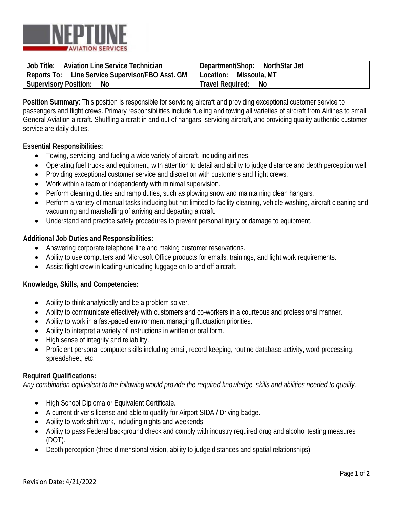

| <b>Job Title:</b>                    | Department/Shop: |
|--------------------------------------|------------------|
| Aviation Line Service Technician     | NorthStar Jet    |
| Line Service Supervisor/FBO Asst. GM | Missoula, MT     |
| Reports To:                          | Location:        |
| <b>Supervisory Position:</b>         | Travel Required: |
| No                                   | No               |

**Position Summary**: This position is responsible for servicing aircraft and providing exceptional customer service to passengers and flight crews. Primary responsibilities include fueling and towing all varieties of aircraft from Airlines to small General Aviation aircraft. Shuffling aircraft in and out of hangars, servicing aircraft, and providing quality authentic customer service are daily duties.

### **Essential Responsibilities:**

- Towing, servicing, and fueling a wide variety of aircraft, including airlines.
- Operating fuel trucks and equipment, with attention to detail and ability to judge distance and depth perception well.
- Providing exceptional customer service and discretion with customers and flight crews.
- Work within a team or independently with minimal supervision.
- Perform cleaning duties and ramp duties, such as plowing snow and maintaining clean hangars.
- Perform a variety of manual tasks including but not limited to facility cleaning, vehicle washing, aircraft cleaning and vacuuming and marshalling of arriving and departing aircraft.
- Understand and practice safety procedures to prevent personal injury or damage to equipment.

### **Additional Job Duties and Responsibilities:**

- Answering corporate telephone line and making customer reservations.
- Ability to use computers and Microsoft Office products for emails, trainings, and light work requirements.
- Assist flight crew in loading /unloading luggage on to and off aircraft.

#### **Knowledge, Skills, and Competencies:**

- Ability to think analytically and be a problem solver.
- Ability to communicate effectively with customers and co-workers in a courteous and professional manner.
- Ability to work in a fast-paced environment managing fluctuation priorities.
- Ability to interpret a variety of instructions in written or oral form.
- High sense of integrity and reliability.
- Proficient personal computer skills including email, record keeping, routine database activity, word processing, spreadsheet, etc.

#### **Required Qualifications:**

*Any combination equivalent to the following would provide the required knowledge, skills and abilities needed to qualify.*

- High School Diploma or Equivalent Certificate.
- A current driver's license and able to qualify for Airport SIDA / Driving badge.
- Ability to work shift work, including nights and weekends.
- Ability to pass Federal background check and comply with industry required drug and alcohol testing measures (DOT).
- Depth perception (three-dimensional vision, ability to judge distances and spatial relationships).